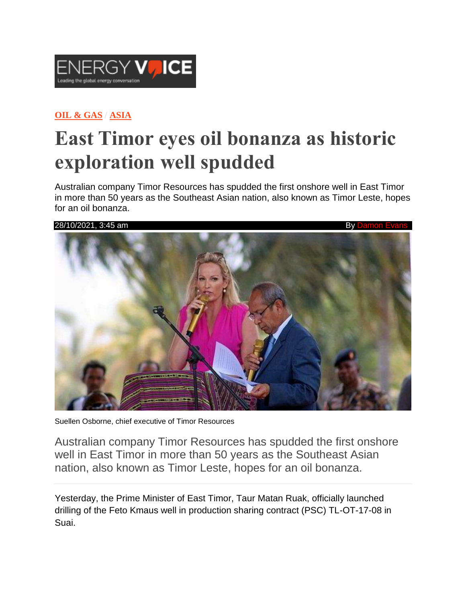

## **OIL & [GAS](https://www.energyvoice.com/category/oilandgas/) / [ASIA](https://www.energyvoice.com/category/oilandgas/asia/)**

## **East Timor eyes oil bonanza as historic exploration well spudded**

Australian company Timor Resources has spudded the first onshore well in East Timor in more than 50 years as the Southeast Asian nation, also known as Timor Leste, hopes for an oil bonanza.



Suellen Osborne, chief executive of Timor Resources

Australian company Timor Resources has spudded the first onshore well in East Timor in more than 50 years as the Southeast Asian nation, also known as Timor Leste, hopes for an oil bonanza.

Yesterday, the Prime Minister of East Timor, Taur Matan Ruak, officially launched drilling of the Feto Kmaus well in production sharing contract (PSC) TL-OT-17-08 in Suai.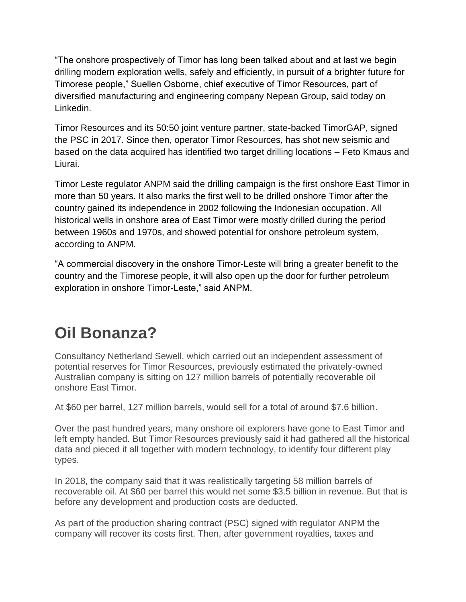"The onshore prospectively of Timor has long been talked about and at last we begin drilling modern exploration wells, safely and efficiently, in pursuit of a brighter future for Timorese people," Suellen Osborne, chief executive of Timor Resources, part of diversified manufacturing and engineering company Nepean Group, said today on Linkedin.

Timor Resources and its 50:50 joint venture partner, state-backed TimorGAP, signed the PSC in 2017. Since then, operator Timor Resources, has shot new seismic and based on the data acquired has identified two target drilling locations – Feto Kmaus and Liurai.

Timor Leste regulator ANPM said the drilling campaign is the first onshore East Timor in more than 50 years. It also marks the first well to be drilled onshore Timor after the country gained its independence in 2002 following the Indonesian occupation. All historical wells in onshore area of East Timor were mostly drilled during the period between 1960s and 1970s, and showed potential for onshore petroleum system, according to ANPM.

"A commercial discovery in the onshore Timor-Leste will bring a greater benefit to the country and the Timorese people, it will also open up the door for further petroleum exploration in onshore Timor-Leste," said ANPM.

## **Oil Bonanza?**

Consultancy Netherland Sewell, which carried out an independent assessment of potential reserves for Timor Resources, previously estimated the privately-owned Australian company is sitting on 127 million barrels of potentially recoverable oil onshore East Timor.

At \$60 per barrel, 127 million barrels, would sell for a total of around \$7.6 billion.

Over the past hundred years, many onshore oil explorers have gone to East Timor and left empty handed. But Timor Resources previously said it had gathered all the historical data and pieced it all together with modern technology, to identify four different play types.

In 2018, the company said that it was realistically targeting 58 million barrels of recoverable oil. At \$60 per barrel this would net some \$3.5 billion in revenue. But that is before any development and production costs are deducted.

As part of the production sharing contract (PSC) signed with regulator ANPM the company will recover its costs first. Then, after government royalties, taxes and